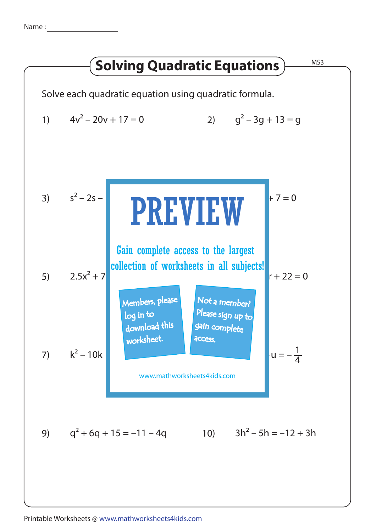